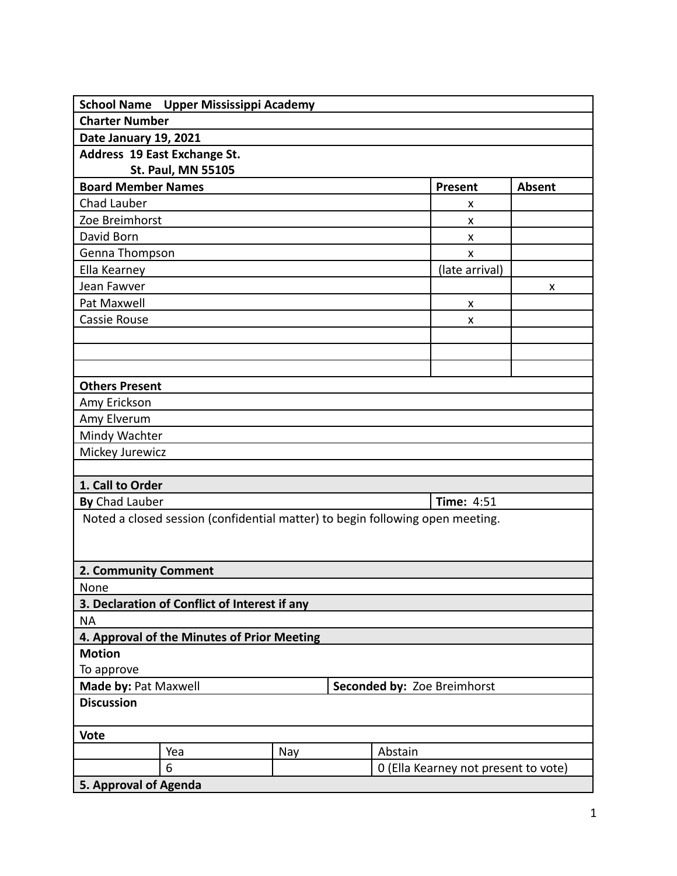|                                                     | School Name Upper Mississippi Academy                                         |     |  |         |                                      |               |
|-----------------------------------------------------|-------------------------------------------------------------------------------|-----|--|---------|--------------------------------------|---------------|
| <b>Charter Number</b>                               |                                                                               |     |  |         |                                      |               |
| Date January 19, 2021                               |                                                                               |     |  |         |                                      |               |
|                                                     | Address 19 East Exchange St.                                                  |     |  |         |                                      |               |
|                                                     | St. Paul, MN 55105                                                            |     |  |         |                                      |               |
| <b>Board Member Names</b>                           |                                                                               |     |  |         | Present                              | <b>Absent</b> |
| Chad Lauber                                         |                                                                               |     |  |         | x                                    |               |
| Zoe Breimhorst                                      |                                                                               |     |  |         | x                                    |               |
| David Born                                          |                                                                               |     |  |         | X                                    |               |
| Genna Thompson                                      |                                                                               |     |  |         | X                                    |               |
| Ella Kearney                                        |                                                                               |     |  |         | (late arrival)                       |               |
| Jean Fawver                                         |                                                                               |     |  |         |                                      | X             |
| Pat Maxwell                                         |                                                                               |     |  |         | X                                    |               |
| Cassie Rouse                                        |                                                                               |     |  |         | X                                    |               |
|                                                     |                                                                               |     |  |         |                                      |               |
|                                                     |                                                                               |     |  |         |                                      |               |
|                                                     |                                                                               |     |  |         |                                      |               |
| <b>Others Present</b>                               |                                                                               |     |  |         |                                      |               |
| Amy Erickson                                        |                                                                               |     |  |         |                                      |               |
| Amy Elverum                                         |                                                                               |     |  |         |                                      |               |
| Mindy Wachter                                       |                                                                               |     |  |         |                                      |               |
| Mickey Jurewicz                                     |                                                                               |     |  |         |                                      |               |
|                                                     |                                                                               |     |  |         |                                      |               |
| 1. Call to Order                                    |                                                                               |     |  |         |                                      |               |
| By Chad Lauber                                      |                                                                               |     |  |         | <b>Time: 4:51</b>                    |               |
|                                                     | Noted a closed session (confidential matter) to begin following open meeting. |     |  |         |                                      |               |
|                                                     |                                                                               |     |  |         |                                      |               |
| 2. Community Comment                                |                                                                               |     |  |         |                                      |               |
| None                                                |                                                                               |     |  |         |                                      |               |
|                                                     | 3. Declaration of Conflict of Interest if any                                 |     |  |         |                                      |               |
| <b>NA</b>                                           |                                                                               |     |  |         |                                      |               |
|                                                     | 4. Approval of the Minutes of Prior Meeting                                   |     |  |         |                                      |               |
| <b>Motion</b>                                       |                                                                               |     |  |         |                                      |               |
| To approve                                          |                                                                               |     |  |         |                                      |               |
| Made by: Pat Maxwell<br>Seconded by: Zoe Breimhorst |                                                                               |     |  |         |                                      |               |
| <b>Discussion</b>                                   |                                                                               |     |  |         |                                      |               |
| <b>Vote</b>                                         |                                                                               |     |  |         |                                      |               |
|                                                     | Yea                                                                           | Nay |  | Abstain |                                      |               |
|                                                     | 6                                                                             |     |  |         | 0 (Ella Kearney not present to vote) |               |
| 5. Approval of Agenda                               |                                                                               |     |  |         |                                      |               |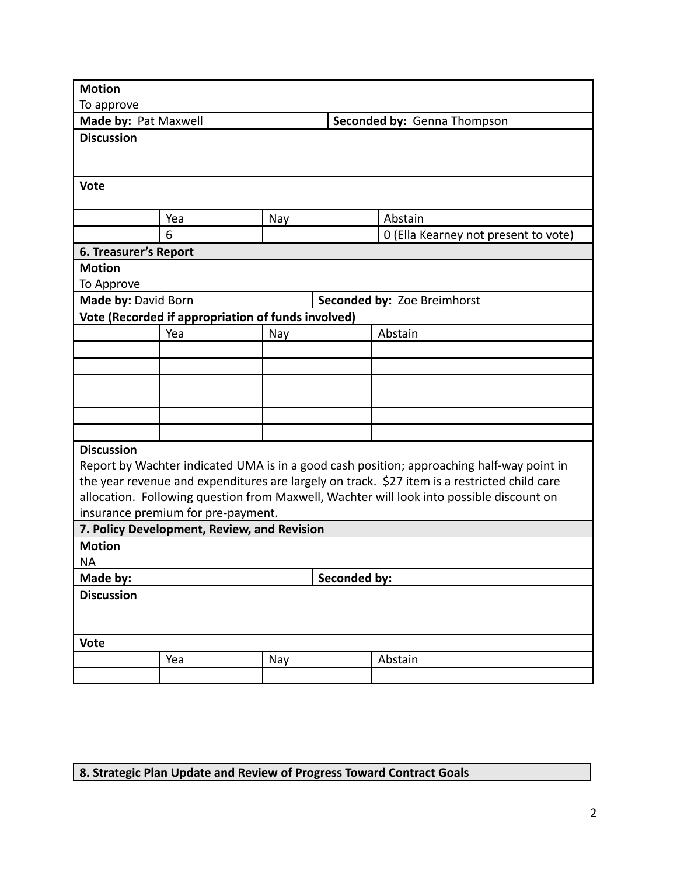| <b>Motion</b>         |                                                    |     |              |                                                                                              |  |  |
|-----------------------|----------------------------------------------------|-----|--------------|----------------------------------------------------------------------------------------------|--|--|
| To approve            |                                                    |     |              |                                                                                              |  |  |
| Made by: Pat Maxwell  |                                                    |     |              | Seconded by: Genna Thompson                                                                  |  |  |
| <b>Discussion</b>     |                                                    |     |              |                                                                                              |  |  |
|                       |                                                    |     |              |                                                                                              |  |  |
|                       |                                                    |     |              |                                                                                              |  |  |
| <b>Vote</b>           |                                                    |     |              |                                                                                              |  |  |
|                       |                                                    |     |              |                                                                                              |  |  |
|                       | Yea                                                | Nay |              | Abstain                                                                                      |  |  |
|                       | 6                                                  |     |              | 0 (Ella Kearney not present to vote)                                                         |  |  |
| 6. Treasurer's Report |                                                    |     |              |                                                                                              |  |  |
| <b>Motion</b>         |                                                    |     |              |                                                                                              |  |  |
| To Approve            |                                                    |     |              |                                                                                              |  |  |
| Made by: David Born   |                                                    |     |              | Seconded by: Zoe Breimhorst                                                                  |  |  |
|                       | Vote (Recorded if appropriation of funds involved) |     |              |                                                                                              |  |  |
|                       | Yea                                                | Nay |              | Abstain                                                                                      |  |  |
|                       |                                                    |     |              |                                                                                              |  |  |
|                       |                                                    |     |              |                                                                                              |  |  |
|                       |                                                    |     |              |                                                                                              |  |  |
|                       |                                                    |     |              |                                                                                              |  |  |
|                       |                                                    |     |              |                                                                                              |  |  |
|                       |                                                    |     |              |                                                                                              |  |  |
| <b>Discussion</b>     |                                                    |     |              |                                                                                              |  |  |
|                       |                                                    |     |              | Report by Wachter indicated UMA is in a good cash position; approaching half-way point in    |  |  |
|                       |                                                    |     |              | the year revenue and expenditures are largely on track. \$27 item is a restricted child care |  |  |
|                       |                                                    |     |              | allocation. Following question from Maxwell, Wachter will look into possible discount on     |  |  |
|                       | insurance premium for pre-payment.                 |     |              |                                                                                              |  |  |
|                       | 7. Policy Development, Review, and Revision        |     |              |                                                                                              |  |  |
| <b>Motion</b>         |                                                    |     |              |                                                                                              |  |  |
| <b>NA</b>             |                                                    |     |              |                                                                                              |  |  |
| Made by:              |                                                    |     | Seconded by: |                                                                                              |  |  |
| <b>Discussion</b>     |                                                    |     |              |                                                                                              |  |  |
|                       |                                                    |     |              |                                                                                              |  |  |
| <b>Vote</b>           |                                                    |     |              |                                                                                              |  |  |
|                       | Yea                                                | Nay |              | Abstain                                                                                      |  |  |
|                       |                                                    |     |              |                                                                                              |  |  |

## **8. Strategic Plan Update and Review of Progress Toward Contract Goals**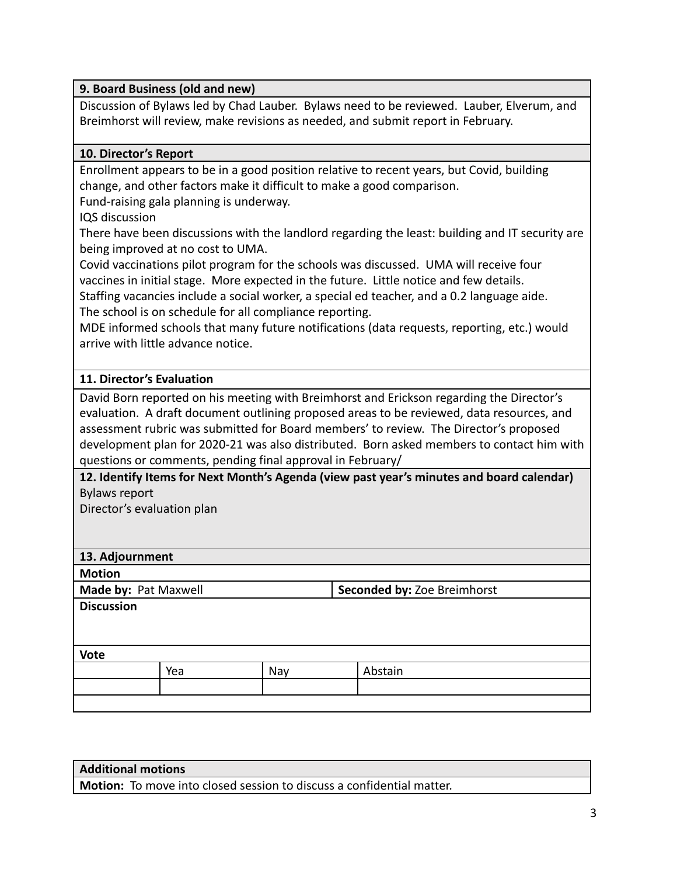| 9. Board Business (old and new) |  |
|---------------------------------|--|
|---------------------------------|--|

Discussion of Bylaws led by Chad Lauber. Bylaws need to be reviewed. Lauber, Elverum, and Breimhorst will review, make revisions as needed, and submit report in February.

## **10. Director's Report**

Enrollment appears to be in a good position relative to recent years, but Covid, building change, and other factors make it difficult to make a good comparison.

Fund-raising gala planning is underway.

IQS discussion

There have been discussions with the landlord regarding the least: building and IT security are being improved at no cost to UMA.

Covid vaccinations pilot program for the schools was discussed. UMA will receive four vaccines in initial stage. More expected in the future. Little notice and few details.

Staffing vacancies include a social worker, a special ed teacher, and a 0.2 language aide. The school is on schedule for all compliance reporting.

MDE informed schools that many future notifications (data requests, reporting, etc.) would arrive with little advance notice.

## **11. Director's Evaluation**

David Born reported on his meeting with Breimhorst and Erickson regarding the Director's evaluation. A draft document outlining proposed areas to be reviewed, data resources, and assessment rubric was submitted for Board members' to review. The Director's proposed development plan for 2020-21 was also distributed. Born asked members to contact him with questions or comments, pending final approval in February/

**12. Identify Items for Next Month's Agenda (view past year's minutes and board calendar)** Bylaws report

Director's evaluation plan

|  | 13. Adjournment |
|--|-----------------|
|--|-----------------|

**Motion**

**Made by:** Pat Maxwell **Seconded by:** Zoe Breimhorst

**Discussion**

 $\sqrt{V}$ 

| <b>VULC</b> |     |     |         |  |  |
|-------------|-----|-----|---------|--|--|
|             | Yea | Nay | Abstain |  |  |
|             |     |     |         |  |  |
|             |     |     |         |  |  |

| <b>Additional motions</b> |  |
|---------------------------|--|
|                           |  |

**Motion:** To move into closed session to discuss a confidential matter.